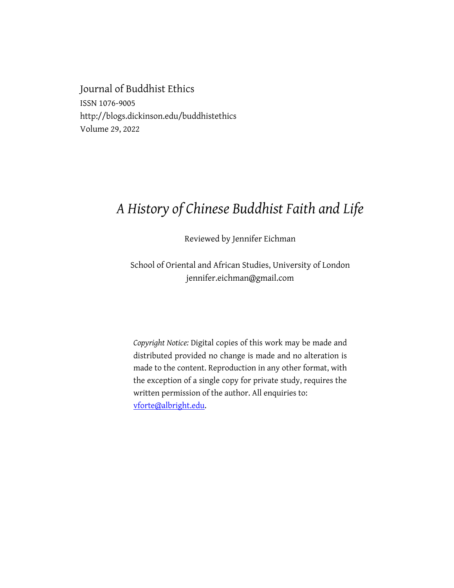Journal of Buddhist Ethics ISSN 1076-9005 http://blogs.dickinson.edu/buddhistethics Volume 29, 2022

## *A History of Chinese Buddhist Faith and Life*

Reviewed by Jennifer Eichman

School of Oriental and African Studies, University of London jennifer.eichman@gmail.com

*Copyright Notice:* Digital copies of this work may be made and distributed provided no change is made and no alteration is made to the content. Reproduction in any other format, with the exception of a single copy for private study, requires the written permission of the author. All enquiries to: vforte@albright.edu.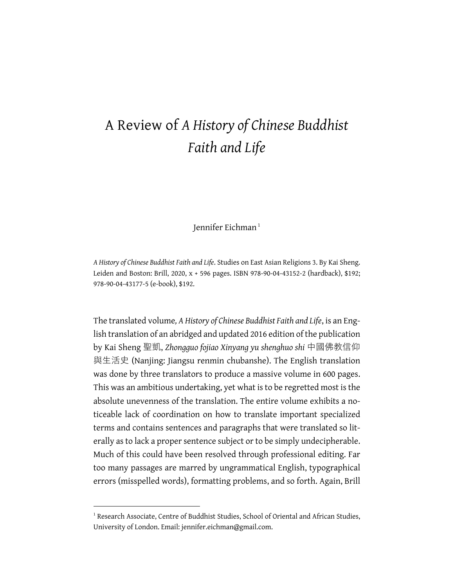## A Review of *A History of Chinese Buddhist Faith and Life*

Iennifer Eichman<sup>1</sup>

*A History of Chinese Buddhist Faith and Life*. Studies on East Asian Religions 3. By Kai Sheng. Leiden and Boston: Brill, 2020, x + 596 pages. ISBN 978-90-04-43152-2 (hardback), \$192; 978-90-04-43177-5 (e-book), \$192.

The translated volume*, A History of Chinese Buddhist Faith and Life*, is an English translation of an abridged and updated 2016 edition of the publication by Kai Sheng 聖凱, *Zhongguo fojiao Xinyang yu shenghuo shi* 中國佛教信仰 與生活史 (Nanjing: Jiangsu renmin chubanshe). The English translation was done by three translators to produce a massive volume in 600 pages. This was an ambitious undertaking, yet what is to be regretted most is the absolute unevenness of the translation. The entire volume exhibits a noticeable lack of coordination on how to translate important specialized terms and contains sentences and paragraphs that were translated so literally as to lack a proper sentence subject or to be simply undecipherable. Much of this could have been resolved through professional editing. Far too many passages are marred by ungrammatical English, typographical errors (misspelled words), formatting problems, and so forth. Again, Brill

<sup>&</sup>lt;sup>1</sup> Research Associate, Centre of Buddhist Studies, School of Oriental and African Studies, University of London. Email: jennifer.eichman@gmail.com.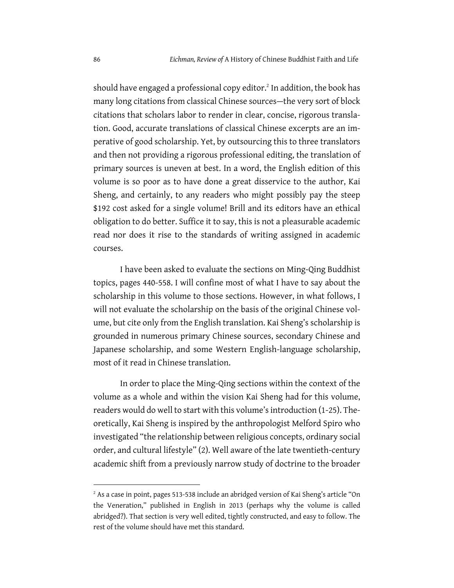should have engaged a professional copy editor.<sup>2</sup> In addition, the book has many long citations from classical Chinese sources—the very sort of block citations that scholars labor to render in clear, concise, rigorous translation. Good, accurate translations of classical Chinese excerpts are an imperative of good scholarship. Yet, by outsourcing this to three translators and then not providing a rigorous professional editing, the translation of primary sources is uneven at best. In a word, the English edition of this volume is so poor as to have done a great disservice to the author, Kai Sheng, and certainly, to any readers who might possibly pay the steep \$192 cost asked for a single volume! Brill and its editors have an ethical obligation to do better. Suffice it to say, this is not a pleasurable academic read nor does it rise to the standards of writing assigned in academic courses.

I have been asked to evaluate the sections on Ming-Qing Buddhist topics, pages 440-558. I will confine most of what I have to say about the scholarship in this volume to those sections. However, in what follows, I will not evaluate the scholarship on the basis of the original Chinese volume, but cite only from the English translation. Kai Sheng's scholarship is grounded in numerous primary Chinese sources, secondary Chinese and Japanese scholarship, and some Western English-language scholarship, most of it read in Chinese translation.

In order to place the Ming-Qing sections within the context of the volume as a whole and within the vision Kai Sheng had for this volume, readers would do well to start with this volume's introduction (1-25). Theoretically, Kai Sheng is inspired by the anthropologist Melford Spiro who investigated "the relationship between religious concepts, ordinary social order, and cultural lifestyle" (2). Well aware of the late twentieth-century academic shift from a previously narrow study of doctrine to the broader

<sup>&</sup>lt;sup>2</sup> As a case in point, pages 513-538 include an abridged version of Kai Sheng's article "On the Veneration," published in English in 2013 (perhaps why the volume is called abridged?). That section is very well edited, tightly constructed, and easy to follow. The rest of the volume should have met this standard.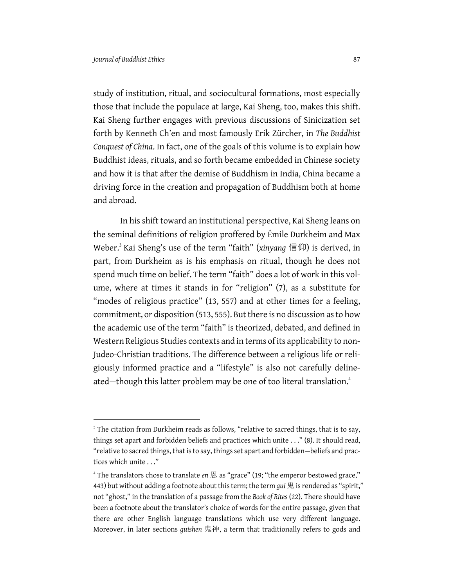study of institution, ritual, and sociocultural formations, most especially those that include the populace at large, Kai Sheng, too, makes this shift. Kai Sheng further engages with previous discussions of Sinicization set forth by Kenneth Ch'en and most famously Erik Zürcher, in *The Buddhist Conquest of China*. In fact, one of the goals of this volume is to explain how Buddhist ideas, rituals, and so forth became embedded in Chinese society and how it is that after the demise of Buddhism in India, China became a driving force in the creation and propagation of Buddhism both at home and abroad.

In his shift toward an institutional perspective, Kai Sheng leans on the seminal definitions of religion proffered by Émile Durkheim and Max Weber.<sup>3</sup> Kai Sheng's use of the term "faith" (*xinyang* 信仰) is derived, in part, from Durkheim as is his emphasis on ritual, though he does not spend much time on belief. The term "faith" does a lot of work in this volume, where at times it stands in for "religion" (7), as a substitute for "modes of religious practice" (13, 557) and at other times for a feeling, commitment, or disposition (513, 555). But there is no discussion as to how the academic use of the term "faith" is theorized, debated, and defined in Western Religious Studies contexts and in terms of its applicability to non-Judeo-Christian traditions. The difference between a religious life or religiously informed practice and a "lifestyle" is also not carefully delineated—though this latter problem may be one of too literal translation.<sup>4</sup>

 $3$  The citation from Durkheim reads as follows, "relative to sacred things, that is to say, things set apart and forbidden beliefs and practices which unite . . ." (8). It should read, "relative to sacred things, that is to say, things set apart and forbidden—beliefs and practices which unite . . ."

<sup>&</sup>lt;sup>4</sup> The translators chose to translate *en* 恩 as "grace" (19; "the emperor bestowed grace," 443) but without adding a footnote about this term; the term *gui* 鬼 is rendered as "spirit," not "ghost," in the translation of a passage from the *Book of Rites* (22). There should have been a footnote about the translator's choice of words for the entire passage, given that there are other English language translations which use very different language. Moreover, in later sections *guishen* 鬼神, a term that traditionally refers to gods and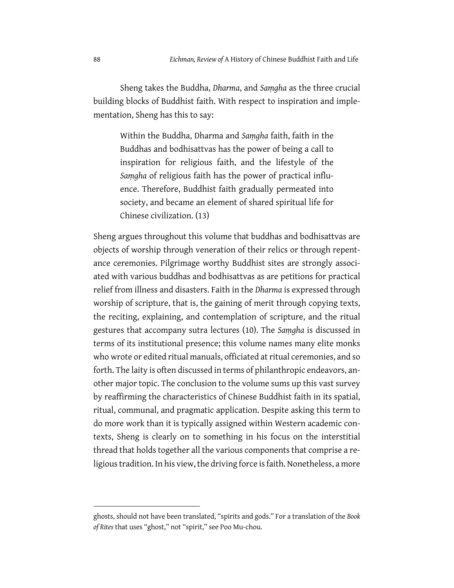Sheng takes the Buddha, *Dharma*, and *Saṃgha* as the three crucial building blocks of Buddhist faith. With respect to inspiration and implementation, Sheng has this to say:

Within the Buddha, Dharma and *Saṃgha* faith, faith in the Buddhas and bodhisattvas has the power of being a call to inspiration for religious faith, and the lifestyle of the *Saṃgha* of religious faith has the power of practical influence. Therefore, Buddhist faith gradually permeated into society, and became an element of shared spiritual life for Chinese civilization. (13)

Sheng argues throughout this volume that buddhas and bodhisattvas are objects of worship through veneration of their relics or through repentance ceremonies. Pilgrimage worthy Buddhist sites are strongly associated with various buddhas and bodhisattvas as are petitions for practical relief from illness and disasters. Faith in the *Dharma* is expressed through worship of scripture, that is, the gaining of merit through copying texts, the reciting, explaining, and contemplation of scripture, and the ritual gestures that accompany sutra lectures (10). The *Saṃgha* is discussed in terms of its institutional presence; this volume names many elite monks who wrote or edited ritual manuals, officiated at ritual ceremonies, and so forth. The laity is often discussed in terms of philanthropic endeavors, another major topic. The conclusion to the volume sums up this vast survey by reaffirming the characteristics of Chinese Buddhist faith in its spatial, ritual, communal, and pragmatic application. Despite asking this term to do more work than it is typically assigned within Western academic contexts, Sheng is clearly on to something in his focus on the interstitial thread that holds together all the various components that comprise a religious tradition. In his view, the driving force is faith. Nonetheless, a more

ghosts, should not have been translated, "spirits and gods." For a translation of the *Book of Rites* that uses "ghost," not "spirit," see Poo Mu-chou.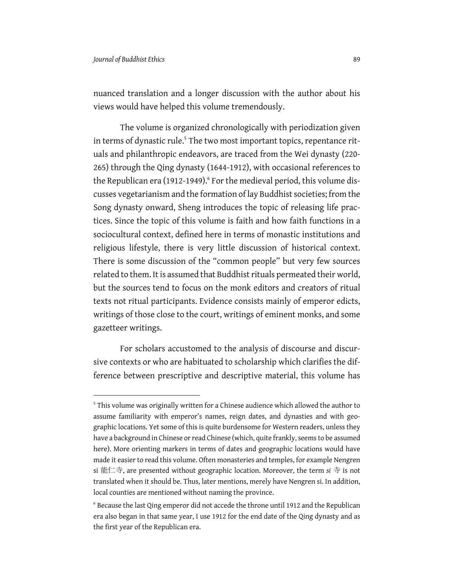nuanced translation and a longer discussion with the author about his views would have helped this volume tremendously.

The volume is organized chronologically with periodization given in terms of dynastic rule.<sup>5</sup> The two most important topics, repentance rituals and philanthropic endeavors, are traced from the Wei dynasty (220- 265) through the Qing dynasty (1644-1912), with occasional references to the Republican era (1912-1949). $6$  For the medieval period, this volume discusses vegetarianism and the formation of lay Buddhist societies; from the Song dynasty onward, Sheng introduces the topic of releasing life practices. Since the topic of this volume is faith and how faith functions in a sociocultural context, defined here in terms of monastic institutions and religious lifestyle, there is very little discussion of historical context. There is some discussion of the "common people" but very few sources related to them. It is assumed that Buddhist rituals permeated their world, but the sources tend to focus on the monk editors and creators of ritual texts not ritual participants. Evidence consists mainly of emperor edicts, writings of those close to the court, writings of eminent monks, and some gazetteer writings.

For scholars accustomed to the analysis of discourse and discursive contexts or who are habituated to scholarship which clarifies the difference between prescriptive and descriptive material, this volume has

<sup>&</sup>lt;sup>5</sup> This volume was originally written for a Chinese audience which allowed the author to assume familiarity with emperor's names, reign dates, and dynasties and with geographic locations. Yet some of this is quite burdensome for Western readers, unless they have a background in Chinese or read Chinese (which, quite frankly, seems to be assumed here). More orienting markers in terms of dates and geographic locations would have made it easier to read this volume. Often monasteries and temples, for example Nengren si 能仁寺, are presented without geographic location. Moreover, the term *si* 寺 is not translated when it should be. Thus, later mentions, merely have Nengren si. In addition, local counties are mentioned without naming the province.

<sup>&</sup>lt;sup>6</sup> Because the last Qing emperor did not accede the throne until 1912 and the Republican era also began in that same year, I use 1912 for the end date of the Qing dynasty and as the first year of the Republican era.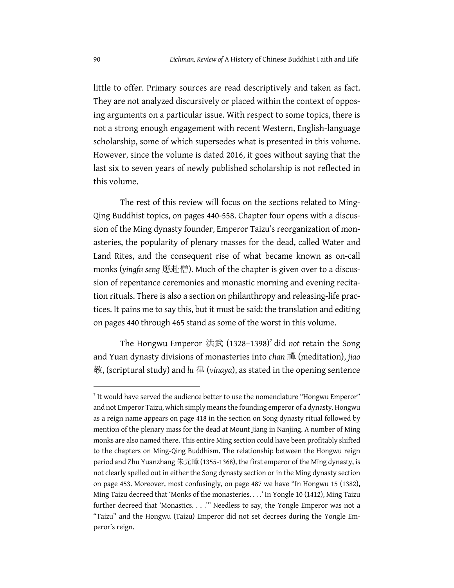little to offer. Primary sources are read descriptively and taken as fact. They are not analyzed discursively or placed within the context of opposing arguments on a particular issue. With respect to some topics, there is not a strong enough engagement with recent Western, English-language scholarship, some of which supersedes what is presented in this volume. However, since the volume is dated 2016, it goes without saying that the last six to seven years of newly published scholarship is not reflected in this volume.

The rest of this review will focus on the sections related to Ming-Qing Buddhist topics, on pages 440-558. Chapter four opens with a discussion of the Ming dynasty founder, Emperor Taizu's reorganization of monasteries, the popularity of plenary masses for the dead, called Water and Land Rites, and the consequent rise of what became known as on-call monks (*yingfu seng* 應赴僧). Much of the chapter is given over to a discussion of repentance ceremonies and monastic morning and evening recitation rituals. There is also a section on philanthropy and releasing-life practices. It pains me to say this, but it must be said: the translation and editing on pages 440 through 465 stand as some of the worst in this volume.

The Hongwu Emperor 洪武 (1328–1398)<sup>7</sup> did *not* retain the Song and Yuan dynasty divisions of monasteries into *chan* 禪 (meditation), *jiao* 教, (scriptural study) and *lu* 律 (*vinaya*), as stated in the opening sentence

 $<sup>7</sup>$  It would have served the audience better to use the nomenclature "Hongwu Emperor"</sup> and not Emperor Taizu, which simply means the founding emperor of a dynasty. Hongwu as a reign name appears on page 418 in the section on Song dynasty ritual followed by mention of the plenary mass for the dead at Mount Jiang in Nanjing. A number of Ming monks are also named there. This entire Ming section could have been profitably shifted to the chapters on Ming-Qing Buddhism. The relationship between the Hongwu reign period and Zhu Yuanzhang 朱元璋 (1355-1368), the first emperor of the Ming dynasty, is not clearly spelled out in either the Song dynasty section or in the Ming dynasty section on page 453. Moreover, most confusingly, on page 487 we have "In Hongwu 15 (1382), Ming Taizu decreed that 'Monks of the monasteries. . . .' In Yongle 10 (1412), Ming Taizu further decreed that 'Monastics. . . .'" Needless to say, the Yongle Emperor was not a "Taizu" and the Hongwu (Taizu) Emperor did not set decrees during the Yongle Emperor's reign.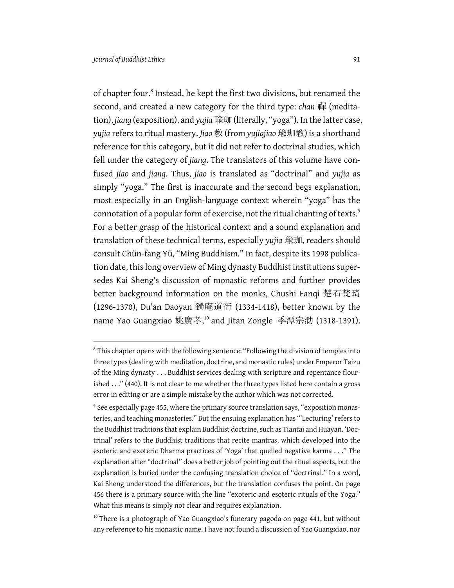of chapter four. <sup>8</sup> Instead, he kept the first two divisions, but renamed the second, and created a new category for the third type: *chan* 禪 (meditation), *jiang* (exposition), and *yujia* 瑜珈 (literally, "yoga"). In the latter case, *yujia* refers to ritual mastery. *Jiao* 教 (from *yujiajiao* 瑜珈教) is a shorthand reference for this category, but it did not refer to doctrinal studies, which fell under the category of *jiang*. The translators of this volume have confused *jiao* and *jiang*. Thus, *jiao* is translated as "doctrinal" and *yujia* as simply "yoga." The first is inaccurate and the second begs explanation, most especially in an English-language context wherein "yoga" has the connotation of a popular form of exercise, not the ritual chanting of texts.<sup>9</sup> For a better grasp of the historical context and a sound explanation and translation of these technical terms, especially *yujia* 瑜珈, readers should consult Chün-fang Yü, "Ming Buddhism." In fact, despite its 1998 publication date, this long overview of Ming dynasty Buddhist institutions supersedes Kai Sheng's discussion of monastic reforms and further provides better background information on the monks, Chushi Fanqi 楚石梵琦 (1296-1370), Du'an Daoyan 獨庵道衍 (1334-1418), better known by the name Yao Guangxiao 姚廣孝,<sup>10</sup> and Jitan Zongle 季潭宗泐 (1318-1391).

<sup>&</sup>lt;sup>8</sup> This chapter opens with the following sentence: "Following the division of temples into three types (dealing with meditation, doctrine, and monastic rules) under Emperor Taizu of the Ming dynasty . . . Buddhist services dealing with scripture and repentance flourished . . ." (440). It is not clear to me whether the three types listed here contain a gross error in editing or are a simple mistake by the author which was not corrected.

<sup>&</sup>lt;sup>9</sup> See especially page 455, where the primary source translation says, "exposition monasteries, and teaching monasteries." But the ensuing explanation has "'Lecturing' refers to the Buddhist traditions that explain Buddhist doctrine, such as Tiantai and Huayan. 'Doctrinal' refers to the Buddhist traditions that recite mantras, which developed into the esoteric and exoteric Dharma practices of 'Yoga' that quelled negative karma . . ." The explanation after "doctrinal" does a better job of pointing out the ritual aspects, but the explanation is buried under the confusing translation choice of "doctrinal." In a word, Kai Sheng understood the differences, but the translation confuses the point. On page 456 there is a primary source with the line "exoteric and esoteric rituals of the Yoga." What this means is simply not clear and requires explanation.

<sup>&</sup>lt;sup>10</sup> There is a photograph of Yao Guangxiao's funerary pagoda on page 441, but without any reference to his monastic name. I have not found a discussion of Yao Guangxiao, nor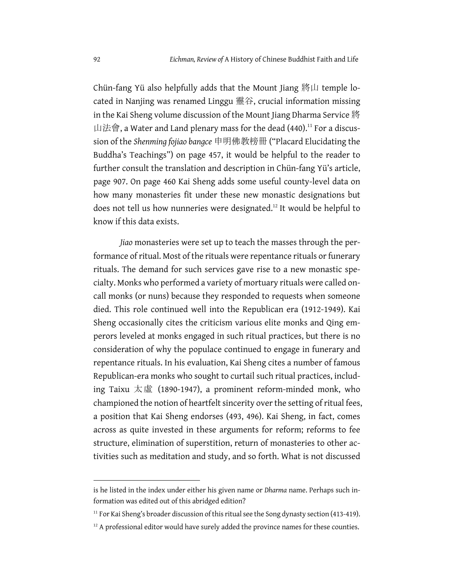Chün-fang Yü also helpfully adds that the Mount Jiang 將山 temple located in Nanjing was renamed Linggu 靈谷, crucial information missing in the Kai Sheng volume discussion of the Mount Jiang Dharma Service 將 山法會, a Water and Land plenary mass for the dead (440).<sup>11</sup> For a discussion of the *Shenming fojiao bangce* 申明佛教榜冊 ("Placard Elucidating the Buddha's Teachings") on page 457, it would be helpful to the reader to further consult the translation and description in Chün-fang Yü's article, page 907. On page 460 Kai Sheng adds some useful county-level data on how many monasteries fit under these new monastic designations but does not tell us how nunneries were designated.<sup>12</sup> It would be helpful to know if this data exists.

*Jiao* monasteries were set up to teach the masses through the performance of ritual. Most of the rituals were repentance rituals or funerary rituals. The demand for such services gave rise to a new monastic specialty. Monks who performed a variety of mortuary rituals were called oncall monks (or nuns) because they responded to requests when someone died. This role continued well into the Republican era (1912-1949). Kai Sheng occasionally cites the criticism various elite monks and Qing emperors leveled at monks engaged in such ritual practices, but there is no consideration of why the populace continued to engage in funerary and repentance rituals. In his evaluation, Kai Sheng cites a number of famous Republican-era monks who sought to curtail such ritual practices, including Taixu 太虛 (1890-1947), a prominent reform-minded monk, who championed the notion of heartfelt sincerity over the setting of ritual fees, a position that Kai Sheng endorses (493, 496). Kai Sheng, in fact, comes across as quite invested in these arguments for reform; reforms to fee structure, elimination of superstition, return of monasteries to other activities such as meditation and study, and so forth. What is not discussed

is he listed in the index under either his given name or *Dharma* name. Perhaps such information was edited out of this abridged edition?

<sup>&</sup>lt;sup>11</sup> For Kai Sheng's broader discussion of this ritual see the Song dynasty section (413-419).

 $12$  A professional editor would have surely added the province names for these counties.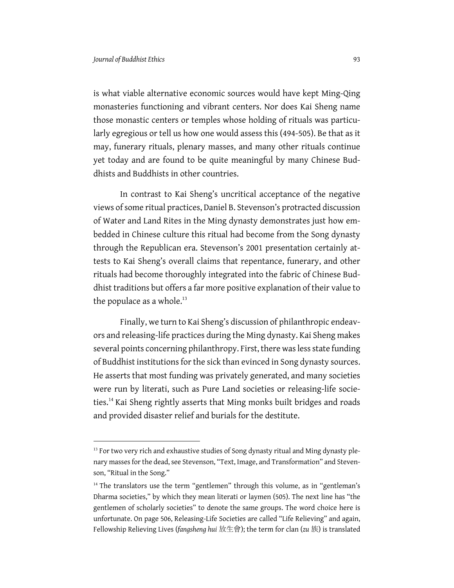is what viable alternative economic sources would have kept Ming-Qing monasteries functioning and vibrant centers. Nor does Kai Sheng name those monastic centers or temples whose holding of rituals was particularly egregious or tell us how one would assess this (494-505). Be that as it may, funerary rituals, plenary masses, and many other rituals continue yet today and are found to be quite meaningful by many Chinese Buddhists and Buddhists in other countries.

In contrast to Kai Sheng's uncritical acceptance of the negative views of some ritual practices, Daniel B. Stevenson's protracted discussion of Water and Land Rites in the Ming dynasty demonstrates just how embedded in Chinese culture this ritual had become from the Song dynasty through the Republican era. Stevenson's 2001 presentation certainly attests to Kai Sheng's overall claims that repentance, funerary, and other rituals had become thoroughly integrated into the fabric of Chinese Buddhist traditions but offers a far more positive explanation of their value to the populace as a whole. $13$ 

Finally, we turn to Kai Sheng's discussion of philanthropic endeavors and releasing-life practices during the Ming dynasty. Kai Sheng makes several points concerning philanthropy. First, there was less state funding of Buddhist institutions for the sick than evinced in Song dynasty sources. He asserts that most funding was privately generated, and many societies were run by literati, such as Pure Land societies or releasing-life societies.<sup>14</sup> Kai Sheng rightly asserts that Ming monks built bridges and roads and provided disaster relief and burials for the destitute.

<sup>&</sup>lt;sup>13</sup> For two very rich and exhaustive studies of Song dynasty ritual and Ming dynasty plenary masses for the dead, see Stevenson, "Text, Image, and Transformation" and Stevenson, "Ritual in the Song."

<sup>&</sup>lt;sup>14</sup> The translators use the term "gentlemen" through this volume, as in "gentleman's Dharma societies," by which they mean literati or laymen (505). The next line has "the gentlemen of scholarly societies" to denote the same groups. The word choice here is unfortunate. On page 506, Releasing-Life Societies are called "Life Relieving" and again, Fellowship Relieving Lives (*fangsheng hui* 放生會); the term for clan (*zu* 族) is translated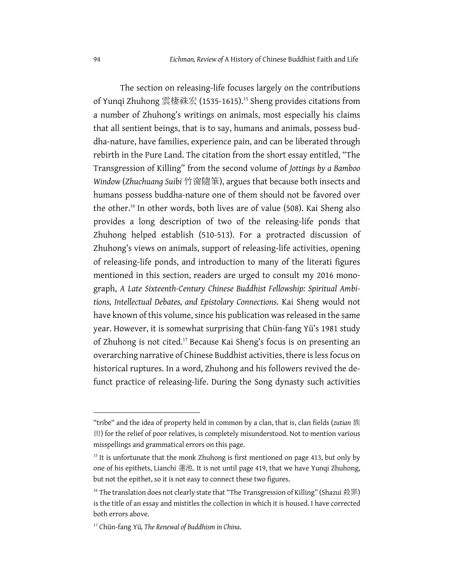The section on releasing-life focuses largely on the contributions of Yunqi Zhuhong 雲棲祩宏 (1535-1615).<sup>15</sup> Sheng provides citations from a number of Zhuhong's writings on animals, most especially his claims that all sentient beings, that is to say, humans and animals, possess buddha-nature, have families, experience pain, and can be liberated through rebirth in the Pure Land. The citation from the short essay entitled, "The Transgression of Killing" from the second volume of *Jottings by a Bamboo Window* (*Zhuchuang Suibi* 竹窗隨筆), argues that because both insects and humans possess buddha-nature one of them should not be favored over the other.16 In other words, both lives are of value (508). Kai Sheng also provides a long description of two of the releasing-life ponds that Zhuhong helped establish (510-513). For a protracted discussion of Zhuhong's views on animals, support of releasing-life activities, opening of releasing-life ponds, and introduction to many of the literati figures mentioned in this section, readers are urged to consult my 2016 monograph, *A Late Sixteenth-Century Chinese Buddhist Fellowship: Spiritual Ambitions, Intellectual Debates, and Epistolary Connections*. Kai Sheng would not have known of this volume, since his publication was released in the same year. However, it is somewhat surprising that Chün-fang Yü's 1981 study of Zhuhong is not cited. <sup>17</sup> Because Kai Sheng's focus is on presenting an overarching narrative of Chinese Buddhist activities, there is less focus on historical ruptures. In a word, Zhuhong and his followers revived the defunct practice of releasing-life. During the Song dynasty such activities

<sup>&</sup>quot;tribe" and the idea of property held in common by a clan, that is, clan fields (*zutian* 族 田) for the relief of poor relatives, is completely misunderstood. Not to mention various misspellings and grammatical errors on this page.

 $15$  It is unfortunate that the monk Zhuhong is first mentioned on page 413, but only by one of his epithets, Lianchi 蓮池. It is not until page 419, that we have Yunqi Zhuhong, but not the epithet, so it is not easy to connect these two figures.

<sup>&</sup>lt;sup>16</sup> The translation does not clearly state that "The Transgression of Killing" (Shazui 殺罪) is the title of an essay and mistitles the collection in which it is housed. I have corrected both errors above.

<sup>17</sup> Chün-fang Yü*, The Renewal of Buddhism in China*.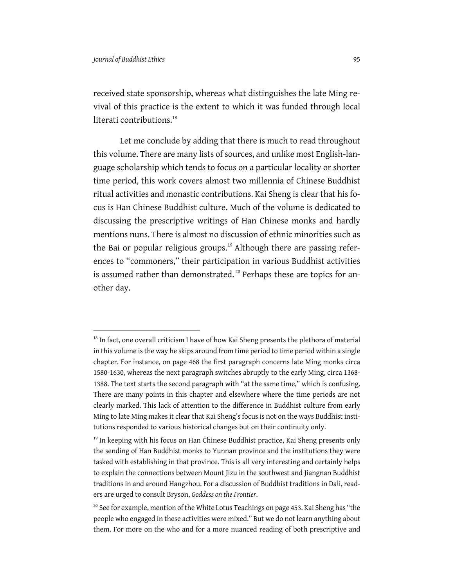received state sponsorship, whereas what distinguishes the late Ming revival of this practice is the extent to which it was funded through local literati contributions.<sup>18</sup>

Let me conclude by adding that there is much to read throughout this volume. There are many lists of sources, and unlike most English-language scholarship which tends to focus on a particular locality or shorter time period, this work covers almost two millennia of Chinese Buddhist ritual activities and monastic contributions. Kai Sheng is clear that his focus is Han Chinese Buddhist culture. Much of the volume is dedicated to discussing the prescriptive writings of Han Chinese monks and hardly mentions nuns. There is almost no discussion of ethnic minorities such as the Bai or popular religious groups.<sup>19</sup> Although there are passing references to "commoners," their participation in various Buddhist activities is assumed rather than demonstrated.<sup>20</sup> Perhaps these are topics for another day.

 $18$  In fact, one overall criticism I have of how Kai Sheng presents the plethora of material in this volume is the way he skips around from time period to time period within a single chapter. For instance, on page 468 the first paragraph concerns late Ming monks circa 1580-1630, whereas the next paragraph switches abruptly to the early Ming, circa 1368- 1388. The text starts the second paragraph with "at the same time," which is confusing. There are many points in this chapter and elsewhere where the time periods are not clearly marked. This lack of attention to the difference in Buddhist culture from early Ming to late Ming makes it clear that Kai Sheng's focus is not on the ways Buddhist institutions responded to various historical changes but on their continuity only.

 $19$  In keeping with his focus on Han Chinese Buddhist practice, Kai Sheng presents only the sending of Han Buddhist monks to Yunnan province and the institutions they were tasked with establishing in that province. This is all very interesting and certainly helps to explain the connections between Mount Jizu in the southwest and Jiangnan Buddhist traditions in and around Hangzhou. For a discussion of Buddhist traditions in Dali, readers are urged to consult Bryson, *Goddess on the Frontier*.

<sup>&</sup>lt;sup>20</sup> See for example, mention of the White Lotus Teachings on page 453. Kai Sheng has "the people who engaged in these activities were mixed." But we do not learn anything about them. For more on the who and for a more nuanced reading of both prescriptive and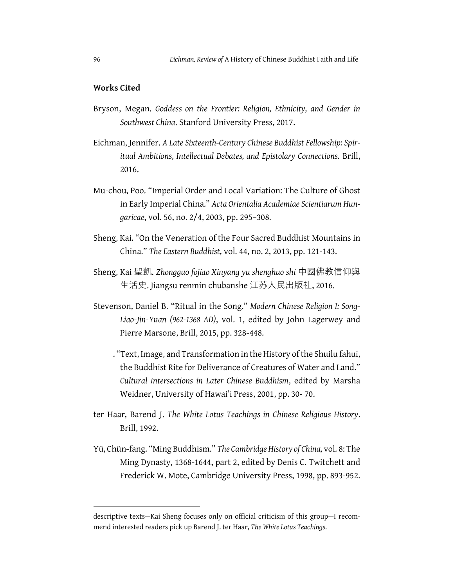## **Works Cited**

- Bryson, Megan. *Goddess on the Frontier: Religion, Ethnicity, and Gender in Southwest China*. Stanford University Press, 2017.
- Eichman, Jennifer. *A Late Sixteenth-Century Chinese Buddhist Fellowship: Spiritual Ambitions, Intellectual Debates, and Epistolary Connections*. Brill, 2016.
- Mu-chou, Poo. "Imperial Order and Local Variation: The Culture of Ghost in Early Imperial China." *Acta Orientalia Academiae Scientiarum Hungaricae*, vol. 56, no. 2/4, 2003, pp. 295–308.
- Sheng, Kai. "On the Veneration of the Four Sacred Buddhist Mountains in China." *The Eastern Buddhist*, vol. 44, no. 2, 2013, pp. 121-143.
- Sheng, Kai 聖凱. *Zhongguo fojiao Xinyang yu shenghuo shi* 中國佛教信仰與 ⽣活史. Jiangsu renmin chubanshe 江苏⼈⺠出版社, 2016.
- Stevenson, Daniel B. "Ritual in the Song." *Modern Chinese Religion I: Song-Liao-Jin-Yuan (962-1368 AD)*, vol. 1, edited by John Lagerwey and Pierre Marsone, Brill, 2015, pp. 328-448.
	- $\Box$ . "Text, Image, and Transformation in the History of the Shuilu fahui, the Buddhist Rite for Deliverance of Creatures of Water and Land." *Cultural Intersections in Later Chinese Buddhism*, edited by Marsha Weidner, University of Hawai'i Press, 2001, pp. 30- 70.
- ter Haar, Barend J. *The White Lotus Teachings in Chinese Religious History*. Brill, 1992.
- Yü, Chün-fang. "Ming Buddhism." The Cambridge History of China, vol. 8: The Ming Dynasty, 1368-1644, part 2, edited by Denis C. Twitchett and Frederick W. Mote, Cambridge University Press, 1998, pp. 893-952.

descriptive texts—Kai Sheng focuses only on official criticism of this group—I recommend interested readers pick up Barend J. ter Haar, *The White Lotus Teachings*.